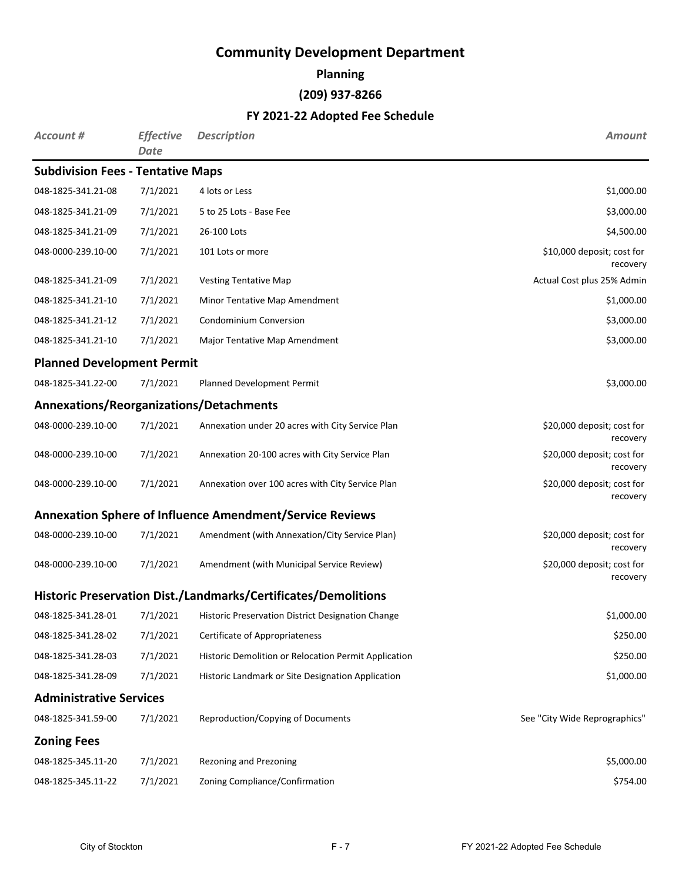**Planning**

# **(209) 937-8266**

| <b>Account #</b>                         | <b>Effective</b><br>Date | <b>Description</b>                                              | <b>Amount</b>                          |
|------------------------------------------|--------------------------|-----------------------------------------------------------------|----------------------------------------|
| <b>Subdivision Fees - Tentative Maps</b> |                          |                                                                 |                                        |
| 048-1825-341.21-08                       | 7/1/2021                 | 4 lots or Less                                                  | \$1,000.00                             |
| 048-1825-341.21-09                       | 7/1/2021                 | 5 to 25 Lots - Base Fee                                         | \$3,000.00                             |
| 048-1825-341.21-09                       | 7/1/2021                 | 26-100 Lots                                                     | \$4,500.00                             |
| 048-0000-239.10-00                       | 7/1/2021                 | 101 Lots or more                                                | \$10,000 deposit; cost for<br>recovery |
| 048-1825-341.21-09                       | 7/1/2021                 | <b>Vesting Tentative Map</b>                                    | Actual Cost plus 25% Admin             |
| 048-1825-341.21-10                       | 7/1/2021                 | Minor Tentative Map Amendment                                   | \$1,000.00                             |
| 048-1825-341.21-12                       | 7/1/2021                 | <b>Condominium Conversion</b>                                   | \$3,000.00                             |
| 048-1825-341.21-10                       | 7/1/2021                 | Major Tentative Map Amendment                                   | \$3,000.00                             |
| <b>Planned Development Permit</b>        |                          |                                                                 |                                        |
| 048-1825-341.22-00                       | 7/1/2021                 | Planned Development Permit                                      | \$3,000.00                             |
| Annexations/Reorganizations/Detachments  |                          |                                                                 |                                        |
| 048-0000-239.10-00                       | 7/1/2021                 | Annexation under 20 acres with City Service Plan                | \$20,000 deposit; cost for<br>recovery |
| 048-0000-239.10-00                       | 7/1/2021                 | Annexation 20-100 acres with City Service Plan                  | \$20,000 deposit; cost for<br>recovery |
| 048-0000-239.10-00                       | 7/1/2021                 | Annexation over 100 acres with City Service Plan                | \$20,000 deposit; cost for<br>recovery |
|                                          |                          | <b>Annexation Sphere of Influence Amendment/Service Reviews</b> |                                        |
| 048-0000-239.10-00                       | 7/1/2021                 | Amendment (with Annexation/City Service Plan)                   | \$20,000 deposit; cost for<br>recovery |
| 048-0000-239.10-00                       | 7/1/2021                 | Amendment (with Municipal Service Review)                       | \$20,000 deposit; cost for<br>recovery |
|                                          |                          | Historic Preservation Dist./Landmarks/Certificates/Demolitions  |                                        |
| 048-1825-341.28-01                       | 7/1/2021                 | Historic Preservation District Designation Change               | \$1,000.00                             |
| 048-1825-341.28-02                       | 7/1/2021                 | Certificate of Appropriateness                                  | \$250.00                               |
| 048-1825-341.28-03                       | 7/1/2021                 | Historic Demolition or Relocation Permit Application            | \$250.00                               |
| 048-1825-341.28-09                       | 7/1/2021                 | Historic Landmark or Site Designation Application               | \$1,000.00                             |
| <b>Administrative Services</b>           |                          |                                                                 |                                        |
| 048-1825-341.59-00                       | 7/1/2021                 | Reproduction/Copying of Documents                               | See "City Wide Reprographics"          |
| <b>Zoning Fees</b>                       |                          |                                                                 |                                        |
| 048-1825-345.11-20                       | 7/1/2021                 | Rezoning and Prezoning                                          | \$5,000.00                             |
| 048-1825-345.11-22                       | 7/1/2021                 | Zoning Compliance/Confirmation                                  | \$754.00                               |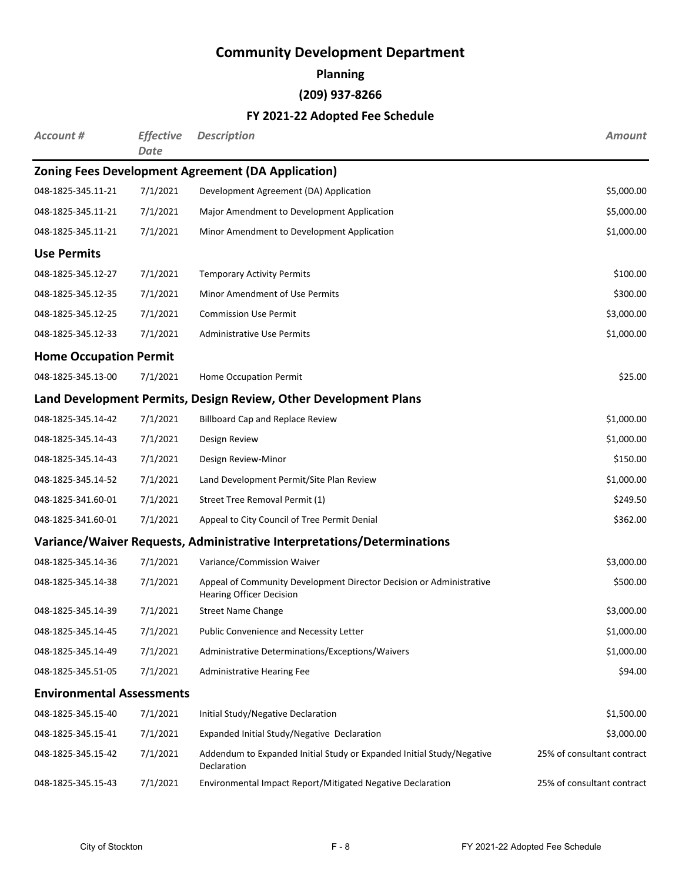**Planning**

**(209) 937-8266**

| Account #                        | <b>Effective</b><br>Date | <b>Description</b>                                                                                     | <b>Amount</b>              |
|----------------------------------|--------------------------|--------------------------------------------------------------------------------------------------------|----------------------------|
|                                  |                          | <b>Zoning Fees Development Agreement (DA Application)</b>                                              |                            |
| 048-1825-345.11-21               | 7/1/2021                 | Development Agreement (DA) Application                                                                 | \$5,000.00                 |
| 048-1825-345.11-21               | 7/1/2021                 | Major Amendment to Development Application                                                             | \$5,000.00                 |
| 048-1825-345.11-21               | 7/1/2021                 | Minor Amendment to Development Application                                                             | \$1,000.00                 |
| <b>Use Permits</b>               |                          |                                                                                                        |                            |
| 048-1825-345.12-27               | 7/1/2021                 | <b>Temporary Activity Permits</b>                                                                      | \$100.00                   |
| 048-1825-345.12-35               | 7/1/2021                 | Minor Amendment of Use Permits                                                                         | \$300.00                   |
| 048-1825-345.12-25               | 7/1/2021                 | <b>Commission Use Permit</b>                                                                           | \$3,000.00                 |
| 048-1825-345.12-33               | 7/1/2021                 | <b>Administrative Use Permits</b>                                                                      | \$1,000.00                 |
| <b>Home Occupation Permit</b>    |                          |                                                                                                        |                            |
| 048-1825-345.13-00               | 7/1/2021                 | Home Occupation Permit                                                                                 | \$25.00                    |
|                                  |                          | Land Development Permits, Design Review, Other Development Plans                                       |                            |
| 048-1825-345.14-42               | 7/1/2021                 | <b>Billboard Cap and Replace Review</b>                                                                | \$1,000.00                 |
| 048-1825-345.14-43               | 7/1/2021                 | Design Review                                                                                          | \$1,000.00                 |
| 048-1825-345.14-43               | 7/1/2021                 | Design Review-Minor                                                                                    | \$150.00                   |
| 048-1825-345.14-52               | 7/1/2021                 | Land Development Permit/Site Plan Review                                                               | \$1,000.00                 |
| 048-1825-341.60-01               | 7/1/2021                 | Street Tree Removal Permit (1)                                                                         | \$249.50                   |
| 048-1825-341.60-01               | 7/1/2021                 | Appeal to City Council of Tree Permit Denial                                                           | \$362.00                   |
|                                  |                          | Variance/Waiver Requests, Administrative Interpretations/Determinations                                |                            |
| 048-1825-345.14-36               | 7/1/2021                 | Variance/Commission Waiver                                                                             | \$3,000.00                 |
| 048-1825-345.14-38               | 7/1/2021                 | Appeal of Community Development Director Decision or Administrative<br><b>Hearing Officer Decision</b> | \$500.00                   |
| 048-1825-345.14-39               | 7/1/2021                 | <b>Street Name Change</b>                                                                              | \$3,000.00                 |
| 048-1825-345.14-45               | 7/1/2021                 | Public Convenience and Necessity Letter                                                                | \$1,000.00                 |
| 048-1825-345.14-49               | 7/1/2021                 | Administrative Determinations/Exceptions/Waivers                                                       | \$1,000.00                 |
| 048-1825-345.51-05               | 7/1/2021                 | Administrative Hearing Fee                                                                             | \$94.00                    |
| <b>Environmental Assessments</b> |                          |                                                                                                        |                            |
| 048-1825-345.15-40               | 7/1/2021                 | Initial Study/Negative Declaration                                                                     | \$1,500.00                 |
| 048-1825-345.15-41               | 7/1/2021                 | Expanded Initial Study/Negative Declaration                                                            | \$3,000.00                 |
| 048-1825-345.15-42               | 7/1/2021                 | Addendum to Expanded Initial Study or Expanded Initial Study/Negative<br>Declaration                   | 25% of consultant contract |
| 048-1825-345.15-43               | 7/1/2021                 | Environmental Impact Report/Mitigated Negative Declaration                                             | 25% of consultant contract |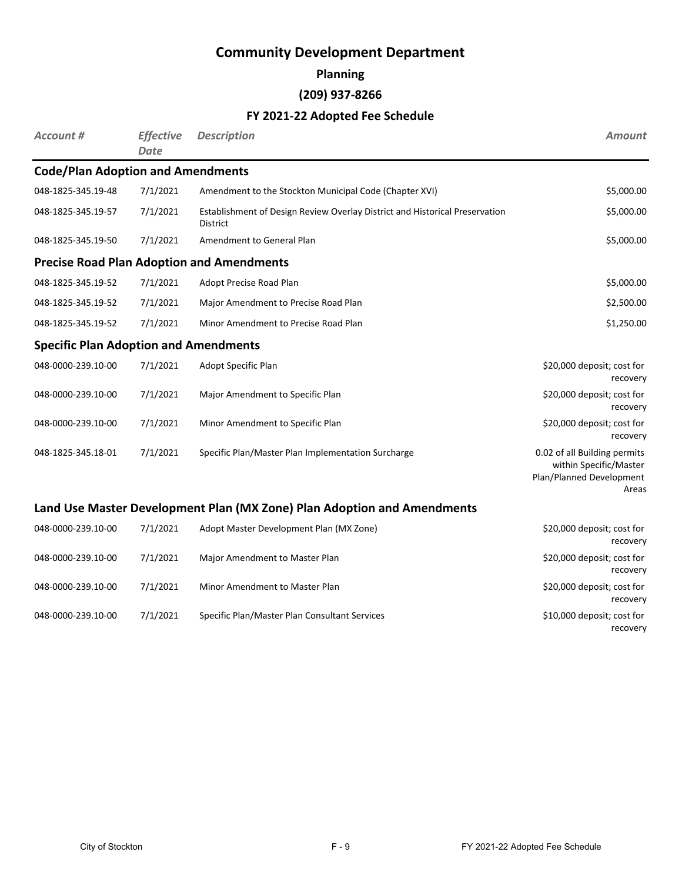#### **Planning**

### **(209) 937-8266**

### **FY 2021-22 Adopted Fee Schedule**

| Account #                                    | <b>Effective</b><br><b>Date</b> | <b>Description</b>                                                                      | <b>Amount</b>                                                                               |
|----------------------------------------------|---------------------------------|-----------------------------------------------------------------------------------------|---------------------------------------------------------------------------------------------|
| <b>Code/Plan Adoption and Amendments</b>     |                                 |                                                                                         |                                                                                             |
| 048-1825-345.19-48                           | 7/1/2021                        | Amendment to the Stockton Municipal Code (Chapter XVI)                                  | \$5,000.00                                                                                  |
| 048-1825-345.19-57                           | 7/1/2021                        | Establishment of Design Review Overlay District and Historical Preservation<br>District | \$5,000.00                                                                                  |
| 048-1825-345.19-50                           | 7/1/2021                        | Amendment to General Plan                                                               | \$5,000.00                                                                                  |
|                                              |                                 | <b>Precise Road Plan Adoption and Amendments</b>                                        |                                                                                             |
| 048-1825-345.19-52                           | 7/1/2021                        | Adopt Precise Road Plan                                                                 | \$5,000.00                                                                                  |
| 048-1825-345.19-52                           | 7/1/2021                        | Major Amendment to Precise Road Plan                                                    | \$2,500.00                                                                                  |
| 048-1825-345.19-52                           | 7/1/2021                        | Minor Amendment to Precise Road Plan                                                    | \$1,250.00                                                                                  |
| <b>Specific Plan Adoption and Amendments</b> |                                 |                                                                                         |                                                                                             |
| 048-0000-239.10-00                           | 7/1/2021                        | Adopt Specific Plan                                                                     | \$20,000 deposit; cost for<br>recovery                                                      |
| 048-0000-239.10-00                           | 7/1/2021                        | Major Amendment to Specific Plan                                                        | \$20,000 deposit; cost for<br>recovery                                                      |
| 048-0000-239.10-00                           | 7/1/2021                        | Minor Amendment to Specific Plan                                                        | \$20,000 deposit; cost for<br>recovery                                                      |
| 048-1825-345.18-01                           | 7/1/2021                        | Specific Plan/Master Plan Implementation Surcharge                                      | 0.02 of all Building permits<br>within Specific/Master<br>Plan/Planned Development<br>Areas |
|                                              |                                 | Land Use Master Development Plan (MX Zone) Plan Adoption and Amendments                 |                                                                                             |
| 048-0000-239.10-00                           | 7/1/2021                        | Adopt Master Development Plan (MX Zone)                                                 | \$20,000 deposit; cost for<br>recovery                                                      |
| 048-0000-239.10-00                           | 7/1/2021                        | Major Amendment to Master Plan                                                          | \$20,000 deposit; cost for<br>recovery                                                      |
| 048-0000-239.10-00                           | 7/1/2021                        | Minor Amendment to Master Plan                                                          | \$20,000 deposit; cost for<br>recovery                                                      |

048-0000-239.10-00 7/1/2021 Specific Plan/Master Plan Consultant Services \$10,000 deposit; cost for

recovery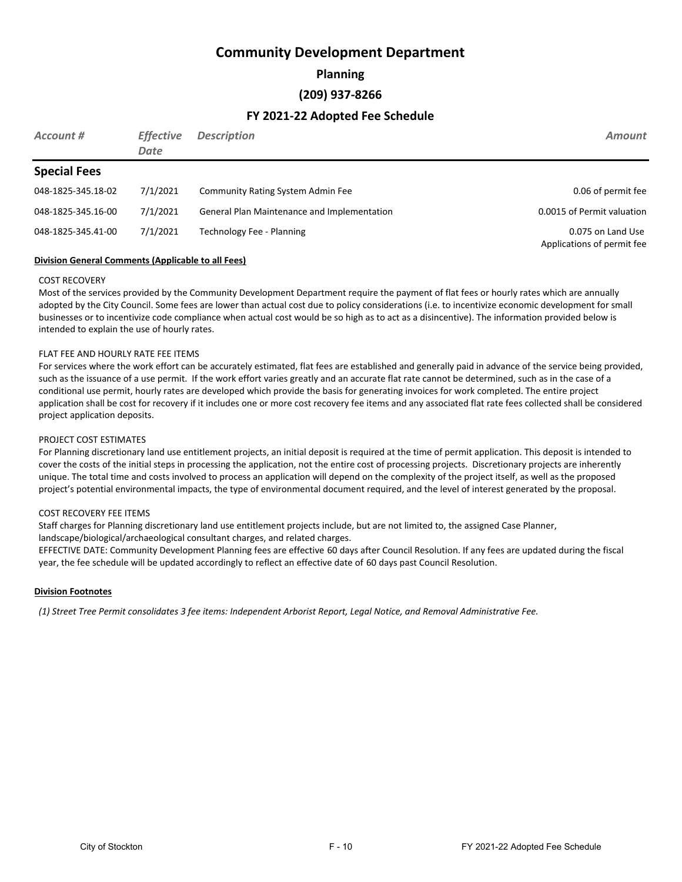**Planning**

#### **(209) 937-8266**

#### **FY 2021-22 Adopted Fee Schedule**

| Account #           | <b>Effective</b><br>Date | <b>Description</b>                          | <b>Amount</b>                                   |
|---------------------|--------------------------|---------------------------------------------|-------------------------------------------------|
| <b>Special Fees</b> |                          |                                             |                                                 |
| 048-1825-345.18-02  | 7/1/2021                 | <b>Community Rating System Admin Fee</b>    | 0.06 of permit fee                              |
| 048-1825-345.16-00  | 7/1/2021                 | General Plan Maintenance and Implementation | 0.0015 of Permit valuation                      |
| 048-1825-345.41-00  | 7/1/2021                 | Technology Fee - Planning                   | 0.075 on Land Use<br>Applications of permit fee |

#### **Division General Comments (Applicable to all Fees)**

#### COST RECOVERY

Most of the services provided by the Community Development Department require the payment of flat fees or hourly rates which are annually adopted by the City Council. Some fees are lower than actual cost due to policy considerations (i.e. to incentivize economic development for small businesses or to incentivize code compliance when actual cost would be so high as to act as a disincentive). The information provided below is intended to explain the use of hourly rates.

#### FLAT FEE AND HOURLY RATE FEE ITEMS

For services where the work effort can be accurately estimated, flat fees are established and generally paid in advance of the service being provided, such as the issuance of a use permit. If the work effort varies greatly and an accurate flat rate cannot be determined, such as in the case of a conditional use permit, hourly rates are developed which provide the basis for generating invoices for work completed. The entire project application shall be cost for recovery if it includes one or more cost recovery fee items and any associated flat rate fees collected shall be considered project application deposits.

#### PROJECT COST ESTIMATES

For Planning discretionary land use entitlement projects, an initial deposit is required at the time of permit application. This deposit is intended to cover the costs of the initial steps in processing the application, not the entire cost of processing projects. Discretionary projects are inherently unique. The total time and costs involved to process an application will depend on the complexity of the project itself, as well as the proposed project's potential environmental impacts, the type of environmental document required, and the level of interest generated by the proposal.

#### COST RECOVERY FEE ITEMS

Staff charges for Planning discretionary land use entitlement projects include, but are not limited to, the assigned Case Planner, landscape/biological/archaeological consultant charges, and related charges.

EFFECTIVE DATE: Community Development Planning fees are effective 60 days after Council Resolution. If any fees are updated during the fiscal year, the fee schedule will be updated accordingly to reflect an effective date of 60 days past Council Resolution.

#### **Division Footnotes**

*(1) Street Tree Permit consolidates 3 fee items: Independent Arborist Report, Legal Notice, and Removal Administrative Fee.*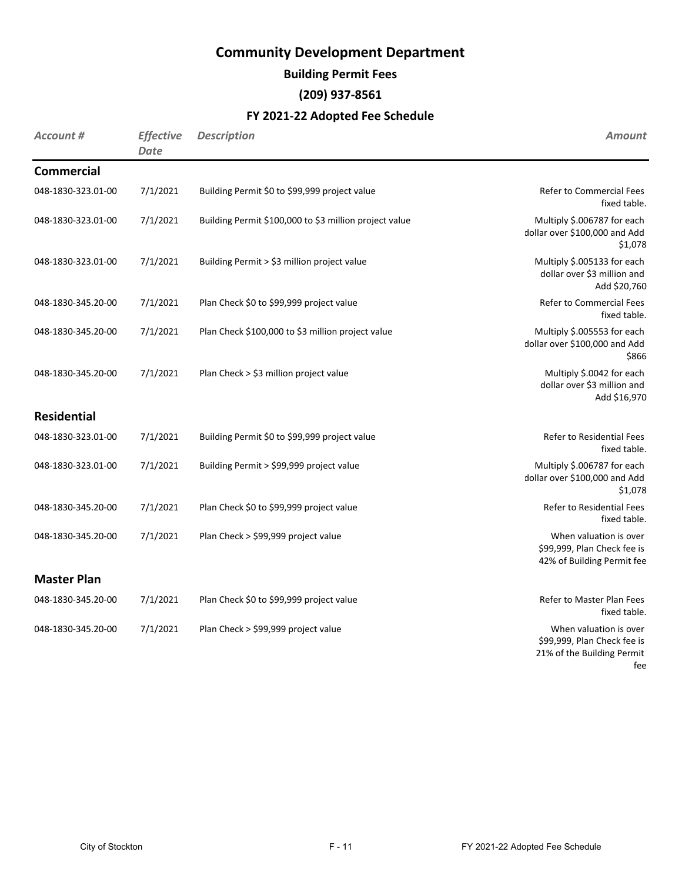**Building Permit Fees**

**(209) 937-8561**

| Account #          | <b>Effective</b><br><b>Date</b> | <b>Description</b>                                     | <b>Amount</b>                                                                              |
|--------------------|---------------------------------|--------------------------------------------------------|--------------------------------------------------------------------------------------------|
| <b>Commercial</b>  |                                 |                                                        |                                                                                            |
| 048-1830-323.01-00 | 7/1/2021                        | Building Permit \$0 to \$99,999 project value          | Refer to Commercial Fees<br>fixed table.                                                   |
| 048-1830-323.01-00 | 7/1/2021                        | Building Permit \$100,000 to \$3 million project value | Multiply \$.006787 for each<br>dollar over \$100,000 and Add<br>\$1,078                    |
| 048-1830-323.01-00 | 7/1/2021                        | Building Permit > \$3 million project value            | Multiply \$.005133 for each<br>dollar over \$3 million and<br>Add \$20,760                 |
| 048-1830-345.20-00 | 7/1/2021                        | Plan Check \$0 to \$99,999 project value               | <b>Refer to Commercial Fees</b><br>fixed table.                                            |
| 048-1830-345.20-00 | 7/1/2021                        | Plan Check \$100,000 to \$3 million project value      | Multiply \$.005553 for each<br>dollar over \$100,000 and Add<br>\$866                      |
| 048-1830-345.20-00 | 7/1/2021                        | Plan Check > \$3 million project value                 | Multiply \$.0042 for each<br>dollar over \$3 million and<br>Add \$16,970                   |
| <b>Residential</b> |                                 |                                                        |                                                                                            |
| 048-1830-323.01-00 | 7/1/2021                        | Building Permit \$0 to \$99,999 project value          | <b>Refer to Residential Fees</b><br>fixed table.                                           |
| 048-1830-323.01-00 | 7/1/2021                        | Building Permit > \$99,999 project value               | Multiply \$.006787 for each<br>dollar over \$100,000 and Add<br>\$1,078                    |
| 048-1830-345.20-00 | 7/1/2021                        | Plan Check \$0 to \$99,999 project value               | <b>Refer to Residential Fees</b><br>fixed table.                                           |
| 048-1830-345.20-00 | 7/1/2021                        | Plan Check > \$99,999 project value                    | When valuation is over<br>\$99,999, Plan Check fee is<br>42% of Building Permit fee        |
| <b>Master Plan</b> |                                 |                                                        |                                                                                            |
| 048-1830-345.20-00 | 7/1/2021                        | Plan Check \$0 to \$99,999 project value               | Refer to Master Plan Fees<br>fixed table.                                                  |
| 048-1830-345.20-00 | 7/1/2021                        | Plan Check > \$99,999 project value                    | When valuation is over<br>\$99,999, Plan Check fee is<br>21% of the Building Permit<br>fee |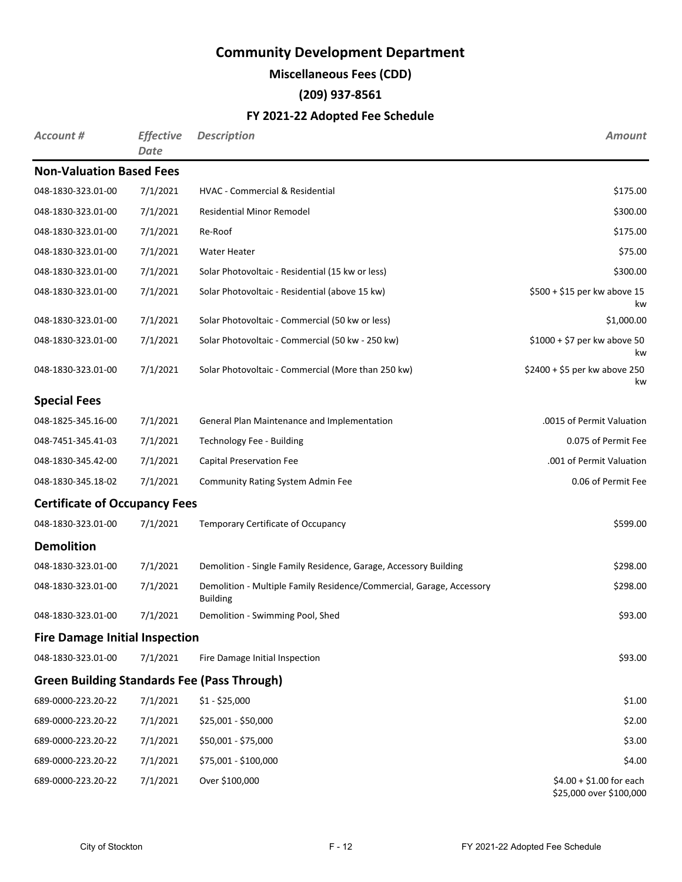**Miscellaneous Fees (CDD)**

**(209) 937-8561**

| <b>Account #</b>                      | <b>Effective</b><br>Date | <b>Description</b>                                                                      | <b>Amount</b>                                       |
|---------------------------------------|--------------------------|-----------------------------------------------------------------------------------------|-----------------------------------------------------|
| <b>Non-Valuation Based Fees</b>       |                          |                                                                                         |                                                     |
| 048-1830-323.01-00                    | 7/1/2021                 | HVAC - Commercial & Residential                                                         | \$175.00                                            |
| 048-1830-323.01-00                    | 7/1/2021                 | <b>Residential Minor Remodel</b>                                                        | \$300.00                                            |
| 048-1830-323.01-00                    | 7/1/2021                 | Re-Roof                                                                                 | \$175.00                                            |
| 048-1830-323.01-00                    | 7/1/2021                 | <b>Water Heater</b>                                                                     | \$75.00                                             |
| 048-1830-323.01-00                    | 7/1/2021                 | Solar Photovoltaic - Residential (15 kw or less)                                        | \$300.00                                            |
| 048-1830-323.01-00                    | 7/1/2021                 | Solar Photovoltaic - Residential (above 15 kw)                                          | \$500 + \$15 per kw above 15<br>kw                  |
| 048-1830-323.01-00                    | 7/1/2021                 | Solar Photovoltaic - Commercial (50 kw or less)                                         | \$1,000.00                                          |
| 048-1830-323.01-00                    | 7/1/2021                 | Solar Photovoltaic - Commercial (50 kw - 250 kw)                                        | $$1000 + $7$ per kw above 50<br>kw                  |
| 048-1830-323.01-00                    | 7/1/2021                 | Solar Photovoltaic - Commercial (More than 250 kw)                                      | \$2400 + \$5 per kw above 250<br>kw                 |
| <b>Special Fees</b>                   |                          |                                                                                         |                                                     |
| 048-1825-345.16-00                    | 7/1/2021                 | General Plan Maintenance and Implementation                                             | .0015 of Permit Valuation                           |
| 048-7451-345.41-03                    | 7/1/2021                 | Technology Fee - Building                                                               | 0.075 of Permit Fee                                 |
| 048-1830-345.42-00                    | 7/1/2021                 | Capital Preservation Fee                                                                | .001 of Permit Valuation                            |
| 048-1830-345.18-02                    | 7/1/2021                 | <b>Community Rating System Admin Fee</b>                                                | 0.06 of Permit Fee                                  |
| <b>Certificate of Occupancy Fees</b>  |                          |                                                                                         |                                                     |
| 048-1830-323.01-00                    | 7/1/2021                 | Temporary Certificate of Occupancy                                                      | \$599.00                                            |
| <b>Demolition</b>                     |                          |                                                                                         |                                                     |
| 048-1830-323.01-00                    | 7/1/2021                 | Demolition - Single Family Residence, Garage, Accessory Building                        | \$298.00                                            |
| 048-1830-323.01-00                    | 7/1/2021                 | Demolition - Multiple Family Residence/Commercial, Garage, Accessory<br><b>Building</b> | \$298.00                                            |
| 048-1830-323.01-00                    | 7/1/2021                 | Demolition - Swimming Pool, Shed                                                        | \$93.00                                             |
| <b>Fire Damage Initial Inspection</b> |                          |                                                                                         |                                                     |
| 048-1830-323.01-00                    | 7/1/2021                 | Fire Damage Initial Inspection                                                          | \$93.00                                             |
|                                       |                          | <b>Green Building Standards Fee (Pass Through)</b>                                      |                                                     |
| 689-0000-223.20-22                    | 7/1/2021                 | $$1 - $25,000$                                                                          | \$1.00                                              |
| 689-0000-223.20-22                    | 7/1/2021                 | \$25,001 - \$50,000                                                                     | \$2.00                                              |
| 689-0000-223.20-22                    | 7/1/2021                 | \$50,001 - \$75,000                                                                     | \$3.00                                              |
| 689-0000-223.20-22                    | 7/1/2021                 | \$75,001 - \$100,000                                                                    | \$4.00                                              |
| 689-0000-223.20-22                    | 7/1/2021                 | Over \$100,000                                                                          | $$4.00 + $1.00$ for each<br>\$25,000 over \$100,000 |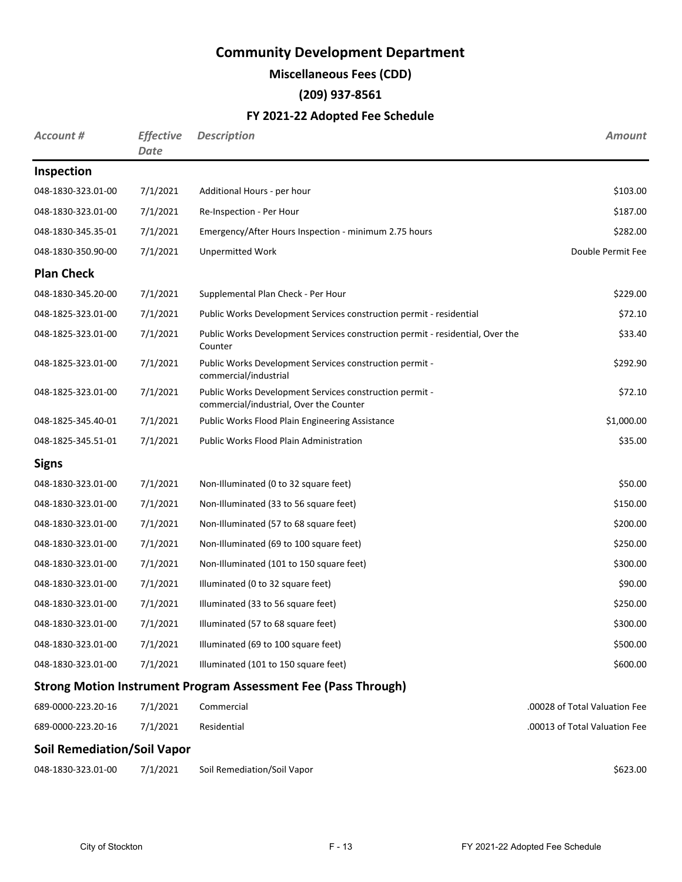## **Miscellaneous Fees (CDD)**

## **(209) 937-8561**

| <b>Account #</b>                   | <b>Effective</b><br>Date | <b>Description</b>                                                                                 | <b>Amount</b>                 |
|------------------------------------|--------------------------|----------------------------------------------------------------------------------------------------|-------------------------------|
| Inspection                         |                          |                                                                                                    |                               |
| 048-1830-323.01-00                 | 7/1/2021                 | Additional Hours - per hour                                                                        | \$103.00                      |
| 048-1830-323.01-00                 | 7/1/2021                 | Re-Inspection - Per Hour                                                                           | \$187.00                      |
| 048-1830-345.35-01                 | 7/1/2021                 | Emergency/After Hours Inspection - minimum 2.75 hours                                              | \$282.00                      |
| 048-1830-350.90-00                 | 7/1/2021                 | <b>Unpermitted Work</b>                                                                            | Double Permit Fee             |
| <b>Plan Check</b>                  |                          |                                                                                                    |                               |
| 048-1830-345.20-00                 | 7/1/2021                 | Supplemental Plan Check - Per Hour                                                                 | \$229.00                      |
| 048-1825-323.01-00                 | 7/1/2021                 | Public Works Development Services construction permit - residential                                | \$72.10                       |
| 048-1825-323.01-00                 | 7/1/2021                 | Public Works Development Services construction permit - residential, Over the<br>Counter           | \$33.40                       |
| 048-1825-323.01-00                 | 7/1/2021                 | Public Works Development Services construction permit -<br>commercial/industrial                   | \$292.90                      |
| 048-1825-323.01-00                 | 7/1/2021                 | Public Works Development Services construction permit -<br>commercial/industrial, Over the Counter | \$72.10                       |
| 048-1825-345.40-01                 | 7/1/2021                 | Public Works Flood Plain Engineering Assistance                                                    | \$1,000.00                    |
| 048-1825-345.51-01                 | 7/1/2021                 | Public Works Flood Plain Administration                                                            | \$35.00                       |
| <b>Signs</b>                       |                          |                                                                                                    |                               |
| 048-1830-323.01-00                 | 7/1/2021                 | Non-Illuminated (0 to 32 square feet)                                                              | \$50.00                       |
| 048-1830-323.01-00                 | 7/1/2021                 | Non-Illuminated (33 to 56 square feet)                                                             | \$150.00                      |
| 048-1830-323.01-00                 | 7/1/2021                 | Non-Illuminated (57 to 68 square feet)                                                             | \$200.00                      |
| 048-1830-323.01-00                 | 7/1/2021                 | Non-Illuminated (69 to 100 square feet)                                                            | \$250.00                      |
| 048-1830-323.01-00                 | 7/1/2021                 | Non-Illuminated (101 to 150 square feet)                                                           | \$300.00                      |
| 048-1830-323.01-00                 | 7/1/2021                 | Illuminated (0 to 32 square feet)                                                                  | \$90.00                       |
| 048-1830-323.01-00                 | 7/1/2021                 | Illuminated (33 to 56 square feet)                                                                 | \$250.00                      |
| 048-1830-323.01-00                 | 7/1/2021                 | Illuminated (57 to 68 square feet)                                                                 | \$300.00                      |
| 048-1830-323.01-00                 | 7/1/2021                 | Illuminated (69 to 100 square feet)                                                                | \$500.00                      |
| 048-1830-323.01-00                 | 7/1/2021                 | Illuminated (101 to 150 square feet)                                                               | \$600.00                      |
|                                    |                          | <b>Strong Motion Instrument Program Assessment Fee (Pass Through)</b>                              |                               |
| 689-0000-223.20-16                 | 7/1/2021                 | Commercial                                                                                         | .00028 of Total Valuation Fee |
| 689-0000-223.20-16                 | 7/1/2021                 | Residential                                                                                        | .00013 of Total Valuation Fee |
| <b>Soil Remediation/Soil Vapor</b> |                          |                                                                                                    |                               |
| 048-1830-323.01-00                 | 7/1/2021                 | Soil Remediation/Soil Vapor                                                                        | \$623.00                      |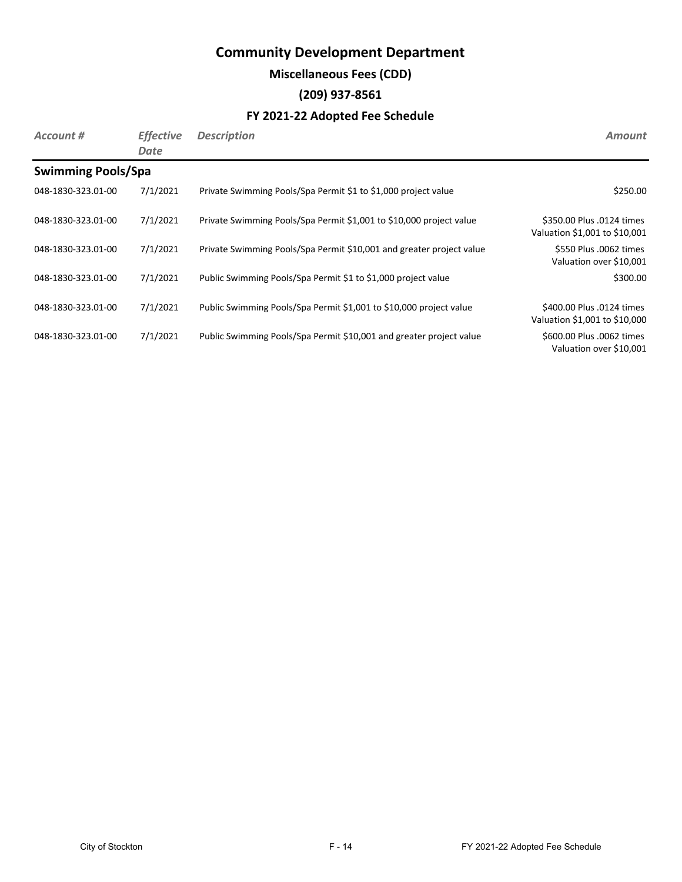## **Miscellaneous Fees (CDD)**

## **(209) 937-8561**

| Account #                 | <b>Effective</b><br>Date | <b>Description</b>                                                   | <b>Amount</b>                                              |
|---------------------------|--------------------------|----------------------------------------------------------------------|------------------------------------------------------------|
| <b>Swimming Pools/Spa</b> |                          |                                                                      |                                                            |
| 048-1830-323.01-00        | 7/1/2021                 | Private Swimming Pools/Spa Permit \$1 to \$1,000 project value       | \$250.00                                                   |
| 048-1830-323.01-00        | 7/1/2021                 | Private Swimming Pools/Spa Permit \$1,001 to \$10,000 project value  | \$350.00 Plus .0124 times<br>Valuation \$1,001 to \$10,001 |
| 048-1830-323.01-00        | 7/1/2021                 | Private Swimming Pools/Spa Permit \$10,001 and greater project value | \$550 Plus .0062 times<br>Valuation over \$10,001          |
| 048-1830-323.01-00        | 7/1/2021                 | Public Swimming Pools/Spa Permit \$1 to \$1,000 project value        | \$300.00                                                   |
| 048-1830-323.01-00        | 7/1/2021                 | Public Swimming Pools/Spa Permit \$1,001 to \$10,000 project value   | \$400.00 Plus .0124 times<br>Valuation \$1,001 to \$10,000 |
| 048-1830-323.01-00        | 7/1/2021                 | Public Swimming Pools/Spa Permit \$10,001 and greater project value  | \$600.00 Plus .0062 times<br>Valuation over \$10,001       |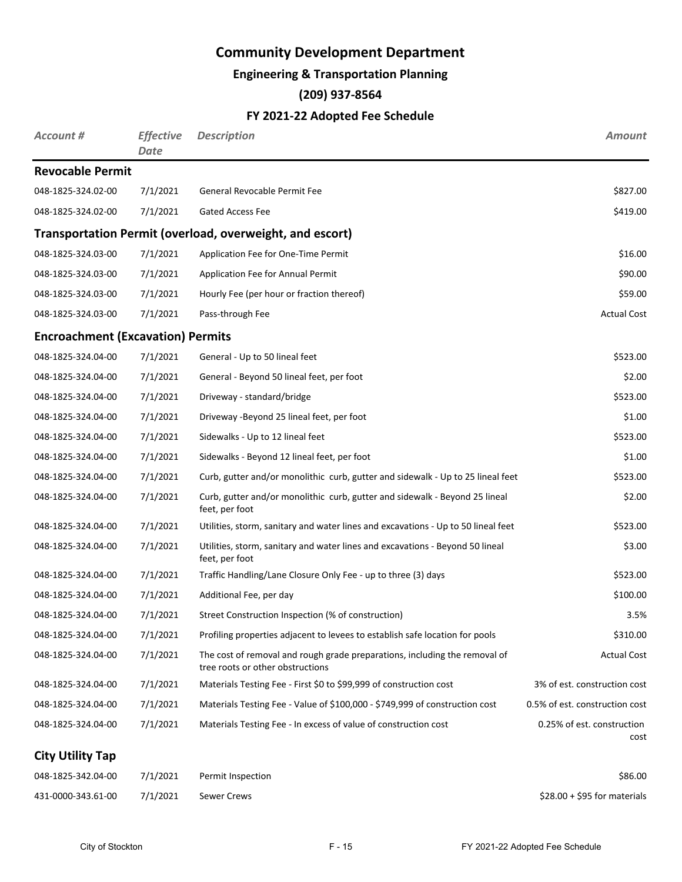### **Engineering & Transportation Planning**

## **(209) 937-8564**

### **FY 2021-22 Adopted Fee Schedule**

| Account #                                | <b>Effective</b><br><b>Date</b> | <b>Description</b>                                                                                             | Amount                             |
|------------------------------------------|---------------------------------|----------------------------------------------------------------------------------------------------------------|------------------------------------|
| <b>Revocable Permit</b>                  |                                 |                                                                                                                |                                    |
| 048-1825-324.02-00                       | 7/1/2021                        | General Revocable Permit Fee                                                                                   | \$827.00                           |
| 048-1825-324.02-00                       | 7/1/2021                        | <b>Gated Access Fee</b>                                                                                        | \$419.00                           |
|                                          |                                 | Transportation Permit (overload, overweight, and escort)                                                       |                                    |
| 048-1825-324.03-00                       | 7/1/2021                        | Application Fee for One-Time Permit                                                                            | \$16.00                            |
| 048-1825-324.03-00                       | 7/1/2021                        | Application Fee for Annual Permit                                                                              | \$90.00                            |
| 048-1825-324.03-00                       | 7/1/2021                        | Hourly Fee (per hour or fraction thereof)                                                                      | \$59.00                            |
| 048-1825-324.03-00                       | 7/1/2021                        | Pass-through Fee                                                                                               | <b>Actual Cost</b>                 |
| <b>Encroachment (Excavation) Permits</b> |                                 |                                                                                                                |                                    |
| 048-1825-324.04-00                       | 7/1/2021                        | General - Up to 50 lineal feet                                                                                 | \$523.00                           |
| 048-1825-324.04-00                       | 7/1/2021                        | General - Beyond 50 lineal feet, per foot                                                                      | \$2.00                             |
| 048-1825-324.04-00                       | 7/1/2021                        | Driveway - standard/bridge                                                                                     | \$523.00                           |
| 048-1825-324.04-00                       | 7/1/2021                        | Driveway - Beyond 25 lineal feet, per foot                                                                     | \$1.00                             |
| 048-1825-324.04-00                       | 7/1/2021                        | Sidewalks - Up to 12 lineal feet                                                                               | \$523.00                           |
| 048-1825-324.04-00                       | 7/1/2021                        | Sidewalks - Beyond 12 lineal feet, per foot                                                                    | \$1.00                             |
| 048-1825-324.04-00                       | 7/1/2021                        | Curb, gutter and/or monolithic curb, gutter and sidewalk - Up to 25 lineal feet                                | \$523.00                           |
| 048-1825-324.04-00                       | 7/1/2021                        | Curb, gutter and/or monolithic curb, gutter and sidewalk - Beyond 25 lineal<br>feet, per foot                  | \$2.00                             |
| 048-1825-324.04-00                       | 7/1/2021                        | Utilities, storm, sanitary and water lines and excavations - Up to 50 lineal feet                              | \$523.00                           |
| 048-1825-324.04-00                       | 7/1/2021                        | Utilities, storm, sanitary and water lines and excavations - Beyond 50 lineal<br>feet, per foot                | \$3.00                             |
| 048-1825-324.04-00                       | 7/1/2021                        | Traffic Handling/Lane Closure Only Fee - up to three (3) days                                                  | \$523.00                           |
| 048-1825-324.04-00                       | 7/1/2021                        | Additional Fee, per day                                                                                        | \$100.00                           |
| 048-1825-324.04-00                       | 7/1/2021                        | Street Construction Inspection (% of construction)                                                             | 3.5%                               |
| 048-1825-324.04-00                       | 7/1/2021                        | Profiling properties adjacent to levees to establish safe location for pools                                   | \$310.00                           |
| 048-1825-324.04-00                       | 7/1/2021                        | The cost of removal and rough grade preparations, including the removal of<br>tree roots or other obstructions | <b>Actual Cost</b>                 |
| 048-1825-324.04-00                       | 7/1/2021                        | Materials Testing Fee - First \$0 to \$99,999 of construction cost                                             | 3% of est. construction cost       |
| 048-1825-324.04-00                       | 7/1/2021                        | Materials Testing Fee - Value of \$100,000 - \$749,999 of construction cost                                    | 0.5% of est. construction cost     |
| 048-1825-324.04-00                       | 7/1/2021                        | Materials Testing Fee - In excess of value of construction cost                                                | 0.25% of est. construction<br>cost |
| <b>City Utility Tap</b>                  |                                 |                                                                                                                |                                    |
| 048-1825-342.04-00                       | 7/1/2021                        | Permit Inspection                                                                                              | \$86.00                            |

431-0000-343.61-00 7/1/2021 Sewer Crews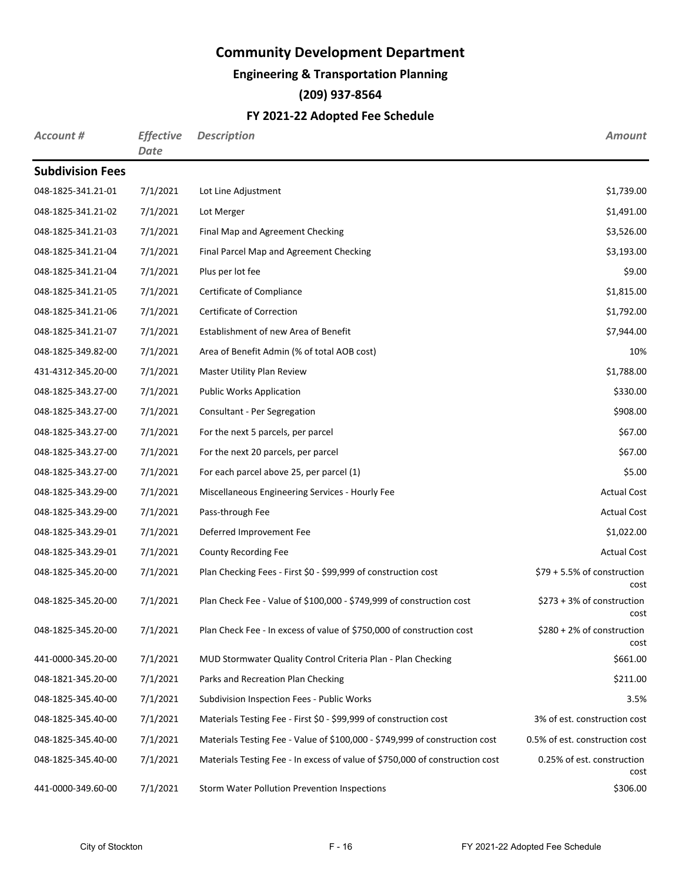## **Engineering & Transportation Planning**

## **(209) 937-8564**

| Account #               | <b>Effective</b><br><b>Date</b> | <b>Description</b>                                                           | <b>Amount</b>                        |
|-------------------------|---------------------------------|------------------------------------------------------------------------------|--------------------------------------|
| <b>Subdivision Fees</b> |                                 |                                                                              |                                      |
| 048-1825-341.21-01      | 7/1/2021                        | Lot Line Adjustment                                                          | \$1,739.00                           |
| 048-1825-341.21-02      | 7/1/2021                        | Lot Merger                                                                   | \$1,491.00                           |
| 048-1825-341.21-03      | 7/1/2021                        | Final Map and Agreement Checking                                             | \$3,526.00                           |
| 048-1825-341.21-04      | 7/1/2021                        | Final Parcel Map and Agreement Checking                                      | \$3,193.00                           |
| 048-1825-341.21-04      | 7/1/2021                        | Plus per lot fee                                                             | \$9.00                               |
| 048-1825-341.21-05      | 7/1/2021                        | Certificate of Compliance                                                    | \$1,815.00                           |
| 048-1825-341.21-06      | 7/1/2021                        | Certificate of Correction                                                    | \$1,792.00                           |
| 048-1825-341.21-07      | 7/1/2021                        | Establishment of new Area of Benefit                                         | \$7,944.00                           |
| 048-1825-349.82-00      | 7/1/2021                        | Area of Benefit Admin (% of total AOB cost)                                  | 10%                                  |
| 431-4312-345.20-00      | 7/1/2021                        | Master Utility Plan Review                                                   | \$1,788.00                           |
| 048-1825-343.27-00      | 7/1/2021                        | <b>Public Works Application</b>                                              | \$330.00                             |
| 048-1825-343.27-00      | 7/1/2021                        | Consultant - Per Segregation                                                 | \$908.00                             |
| 048-1825-343.27-00      | 7/1/2021                        | For the next 5 parcels, per parcel                                           | \$67.00                              |
| 048-1825-343.27-00      | 7/1/2021                        | For the next 20 parcels, per parcel                                          | \$67.00                              |
| 048-1825-343.27-00      | 7/1/2021                        | For each parcel above 25, per parcel (1)                                     | \$5.00                               |
| 048-1825-343.29-00      | 7/1/2021                        | Miscellaneous Engineering Services - Hourly Fee                              | <b>Actual Cost</b>                   |
| 048-1825-343.29-00      | 7/1/2021                        | Pass-through Fee                                                             | <b>Actual Cost</b>                   |
| 048-1825-343.29-01      | 7/1/2021                        | Deferred Improvement Fee                                                     | \$1,022.00                           |
| 048-1825-343.29-01      | 7/1/2021                        | County Recording Fee                                                         | <b>Actual Cost</b>                   |
| 048-1825-345.20-00      | 7/1/2021                        | Plan Checking Fees - First \$0 - \$99,999 of construction cost               | \$79 + 5.5% of construction<br>cost  |
| 048-1825-345.20-00      | 7/1/2021                        | Plan Check Fee - Value of \$100,000 - \$749,999 of construction cost         | $$273 + 3%$ of construction<br>cost  |
| 048-1825-345.20-00      | 7/1/2021                        | Plan Check Fee - In excess of value of \$750,000 of construction cost        | $$280 + 2\%$ of construction<br>cost |
| 441-0000-345.20-00      | 7/1/2021                        | MUD Stormwater Quality Control Criteria Plan - Plan Checking                 | \$661.00                             |
| 048-1821-345.20-00      | 7/1/2021                        | Parks and Recreation Plan Checking                                           | \$211.00                             |
| 048-1825-345.40-00      | 7/1/2021                        | Subdivision Inspection Fees - Public Works                                   | 3.5%                                 |
| 048-1825-345.40-00      | 7/1/2021                        | Materials Testing Fee - First \$0 - \$99,999 of construction cost            | 3% of est. construction cost         |
| 048-1825-345.40-00      | 7/1/2021                        | Materials Testing Fee - Value of \$100,000 - \$749,999 of construction cost  | 0.5% of est. construction cost       |
| 048-1825-345.40-00      | 7/1/2021                        | Materials Testing Fee - In excess of value of \$750,000 of construction cost | 0.25% of est. construction<br>cost   |
| 441-0000-349.60-00      | 7/1/2021                        | Storm Water Pollution Prevention Inspections                                 | \$306.00                             |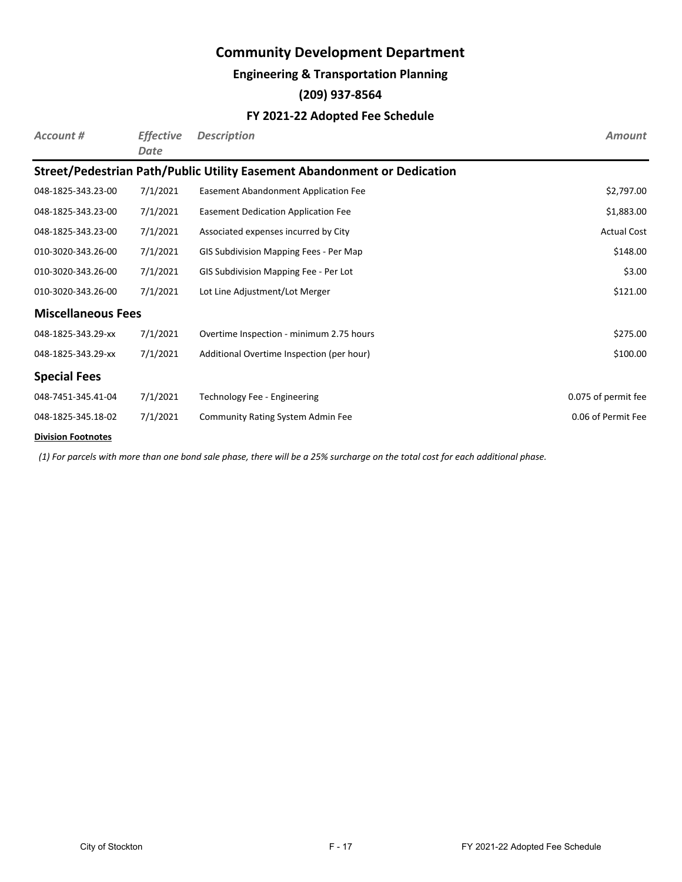### **Engineering & Transportation Planning**

### **(209) 937-8564**

### **FY 2021-22 Adopted Fee Schedule**

| Account #                 | <b>Effective</b><br>Date | <b>Description</b>                                                       | <b>Amount</b>       |
|---------------------------|--------------------------|--------------------------------------------------------------------------|---------------------|
|                           |                          | Street/Pedestrian Path/Public Utility Easement Abandonment or Dedication |                     |
| 048-1825-343.23-00        | 7/1/2021                 | Easement Abandonment Application Fee                                     | \$2,797.00          |
| 048-1825-343.23-00        | 7/1/2021                 | Easement Dedication Application Fee                                      | \$1,883.00          |
| 048-1825-343.23-00        | 7/1/2021                 | Associated expenses incurred by City                                     | <b>Actual Cost</b>  |
| 010-3020-343.26-00        | 7/1/2021                 | GIS Subdivision Mapping Fees - Per Map                                   | \$148.00            |
| 010-3020-343.26-00        | 7/1/2021                 | GIS Subdivision Mapping Fee - Per Lot                                    | \$3.00              |
| 010-3020-343.26-00        | 7/1/2021                 | Lot Line Adjustment/Lot Merger                                           | \$121.00            |
| <b>Miscellaneous Fees</b> |                          |                                                                          |                     |
| 048-1825-343.29-xx        | 7/1/2021                 | Overtime Inspection - minimum 2.75 hours                                 | \$275.00            |
| 048-1825-343.29-xx        | 7/1/2021                 | Additional Overtime Inspection (per hour)                                | \$100.00            |
| <b>Special Fees</b>       |                          |                                                                          |                     |
| 048-7451-345.41-04        | 7/1/2021                 | Technology Fee - Engineering                                             | 0.075 of permit fee |
| 048-1825-345.18-02        | 7/1/2021                 | <b>Community Rating System Admin Fee</b>                                 | 0.06 of Permit Fee  |

#### **Division Footnotes**

*(1) For parcels with more than one bond sale phase, there will be a 25% surcharge on the total cost for each additional phase.*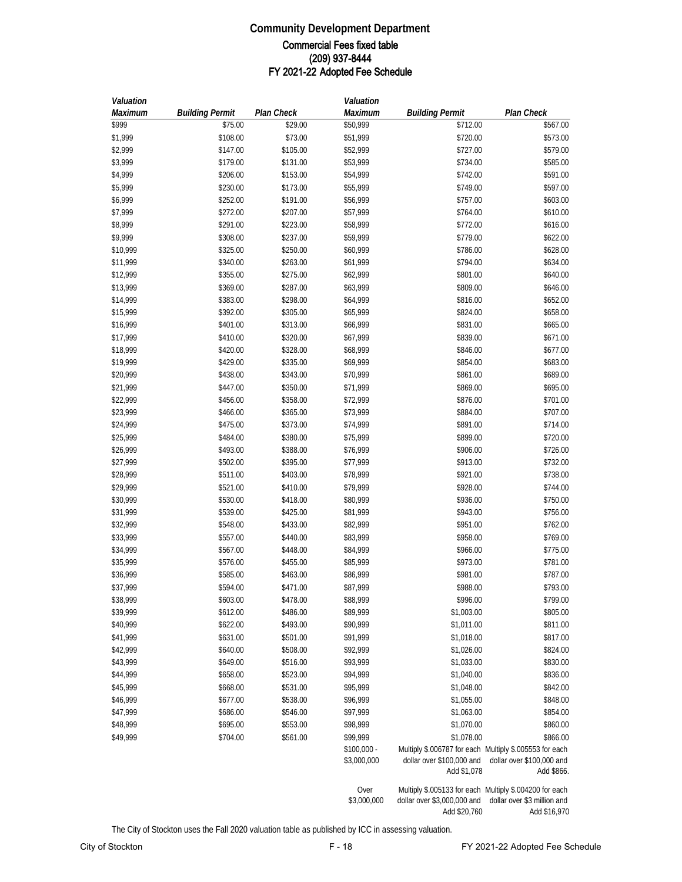#### **Community Development Department** Commercial Fees fixed table (209) 937-8444 FY 2021-22 Adopted Fee Schedule

| Valuation |                        |            | Valuation                   |                                                                                                     |                                         |
|-----------|------------------------|------------|-----------------------------|-----------------------------------------------------------------------------------------------------|-----------------------------------------|
| Maximum   | <b>Building Permit</b> | Plan Check | Maximum                     | <b>Building Permit</b>                                                                              | <b>Plan Check</b>                       |
| \$999     | \$75.00                | \$29.00    | \$50,999                    | \$712.00                                                                                            | \$567.00                                |
| \$1,999   | \$108.00               | \$73.00    | \$51,999                    | \$720.00                                                                                            | \$573.00                                |
| \$2,999   | \$147.00               | \$105.00   | \$52,999                    | \$727.00                                                                                            | \$579.00                                |
| \$3,999   | \$179.00               | \$131.00   | \$53,999                    | \$734.00                                                                                            | \$585.00                                |
| \$4,999   | \$206.00               | \$153.00   | \$54,999                    | \$742.00                                                                                            | \$591.00                                |
| \$5,999   | \$230.00               | \$173.00   | \$55,999                    | \$749.00                                                                                            | \$597.00                                |
| \$6,999   | \$252.00               | \$191.00   | \$56,999                    | \$757.00                                                                                            | \$603.00                                |
| \$7,999   | \$272.00               | \$207.00   | \$57,999                    | \$764.00                                                                                            | \$610.00                                |
| \$8,999   | \$291.00               | \$223.00   | \$58,999                    | \$772.00                                                                                            | \$616.00                                |
| \$9,999   | \$308.00               | \$237.00   | \$59,999                    | \$779.00                                                                                            | \$622.00                                |
| \$10,999  | \$325.00               | \$250.00   | \$60,999                    | \$786.00                                                                                            | \$628.00                                |
|           |                        |            |                             |                                                                                                     |                                         |
| \$11,999  | \$340.00               | \$263.00   | \$61,999                    | \$794.00                                                                                            | \$634.00                                |
| \$12,999  | \$355.00               | \$275.00   | \$62,999                    | \$801.00                                                                                            | \$640.00                                |
| \$13,999  | \$369.00               | \$287.00   | \$63,999                    | \$809.00                                                                                            | \$646.00                                |
| \$14,999  | \$383.00               | \$298.00   | \$64,999                    | \$816.00                                                                                            | \$652.00                                |
| \$15,999  | \$392.00               | \$305.00   | \$65,999                    | \$824.00                                                                                            | \$658.00                                |
| \$16,999  | \$401.00               | \$313.00   | \$66,999                    | \$831.00                                                                                            | \$665.00                                |
| \$17,999  | \$410.00               | \$320.00   | \$67,999                    | \$839.00                                                                                            | \$671.00                                |
| \$18,999  | \$420.00               | \$328.00   | \$68,999                    | \$846.00                                                                                            | \$677.00                                |
| \$19,999  | \$429.00               | \$335.00   | \$69,999                    | \$854.00                                                                                            | \$683.00                                |
| \$20,999  | \$438.00               | \$343.00   | \$70,999                    | \$861.00                                                                                            | \$689.00                                |
| \$21,999  | \$447.00               | \$350.00   | \$71,999                    | \$869.00                                                                                            | \$695.00                                |
| \$22,999  | \$456.00               | \$358.00   | \$72,999                    | \$876.00                                                                                            | \$701.00                                |
| \$23,999  | \$466.00               | \$365.00   | \$73,999                    | \$884.00                                                                                            | \$707.00                                |
| \$24,999  | \$475.00               | \$373.00   | \$74,999                    | \$891.00                                                                                            | \$714.00                                |
| \$25,999  | \$484.00               | \$380.00   | \$75,999                    | \$899.00                                                                                            | \$720.00                                |
| \$26,999  | \$493.00               | \$388.00   | \$76,999                    | \$906.00                                                                                            | \$726.00                                |
| \$27,999  | \$502.00               | \$395.00   | \$77,999                    | \$913.00                                                                                            | \$732.00                                |
| \$28,999  | \$511.00               | \$403.00   | \$78,999                    | \$921.00                                                                                            | \$738.00                                |
| \$29,999  | \$521.00               | \$410.00   | \$79,999                    | \$928.00                                                                                            | \$744.00                                |
| \$30,999  | \$530.00               | \$418.00   | \$80,999                    | \$936.00                                                                                            | \$750.00                                |
| \$31,999  | \$539.00               | \$425.00   | \$81,999                    | \$943.00                                                                                            | \$756.00                                |
| \$32,999  | \$548.00               | \$433.00   | \$82,999                    | \$951.00                                                                                            | \$762.00                                |
| \$33,999  | \$557.00               | \$440.00   | \$83,999                    | \$958.00                                                                                            | \$769.00                                |
| \$34,999  | \$567.00               | \$448.00   | \$84,999                    | \$966.00                                                                                            | \$775.00                                |
| \$35,999  | \$576.00               | \$455.00   | \$85,999                    | \$973.00                                                                                            | \$781.00                                |
| \$36,999  | \$585.00               | \$463.00   | \$86,999                    | \$981.00                                                                                            | \$787.00                                |
| \$37,999  | \$594.00               | \$471.00   | \$87,999                    | \$988.00                                                                                            | \$793.00                                |
| \$38,999  | \$603.00               | \$478.00   | \$88,999                    | \$996.00                                                                                            | \$799.00                                |
| \$39,999  | \$612.00               | \$486.00   | \$89,999                    | \$1,003.00                                                                                          | \$805.00                                |
| \$40,999  | \$622.00               | \$493.00   | \$90,999                    | \$1,011.00                                                                                          | \$811.00                                |
| \$41,999  | \$631.00               | \$501.00   | \$91,999                    | \$1,018.00                                                                                          | \$817.00                                |
| \$42,999  | \$640.00               | \$508.00   | \$92,999                    | \$1,026.00                                                                                          | \$824.00                                |
| \$43,999  | \$649.00               | \$516.00   | \$93,999                    | \$1,033.00                                                                                          | \$830.00                                |
| \$44,999  | \$658.00               | \$523.00   | \$94,999                    | \$1,040.00                                                                                          | \$836.00                                |
|           |                        |            |                             |                                                                                                     | \$842.00                                |
| \$45,999  | \$668.00               | \$531.00   | \$95,999                    | \$1,048.00                                                                                          |                                         |
| \$46,999  | \$677.00               | \$538.00   | \$96,999                    | \$1,055.00                                                                                          | \$848.00                                |
| \$47,999  | \$686.00               | \$546.00   | \$97,999                    | \$1,063.00                                                                                          | \$854.00                                |
| \$48,999  | \$695.00               | \$553.00   | \$98,999                    | \$1,070.00                                                                                          | \$860.00                                |
| \$49,999  | \$704.00               | \$561.00   | \$99,999                    | \$1,078.00                                                                                          | \$866.00                                |
|           |                        |            | $$100,000 -$<br>\$3,000,000 | Multiply \$.006787 for each Multiply \$.005553 for each<br>dollar over \$100,000 and<br>Add \$1,078 | dollar over \$100,000 and<br>Add \$866. |
|           |                        |            | Over                        | Multiply \$.005133 for each Multiply \$.004200 for each                                             |                                         |

\$3,000,000 dollar over \$3,000,000 and Add \$20,760 dollar over \$3 million and Add \$16,970

The City of Stockton uses the Fall 2020 valuation table as published by ICC in assessing valuation.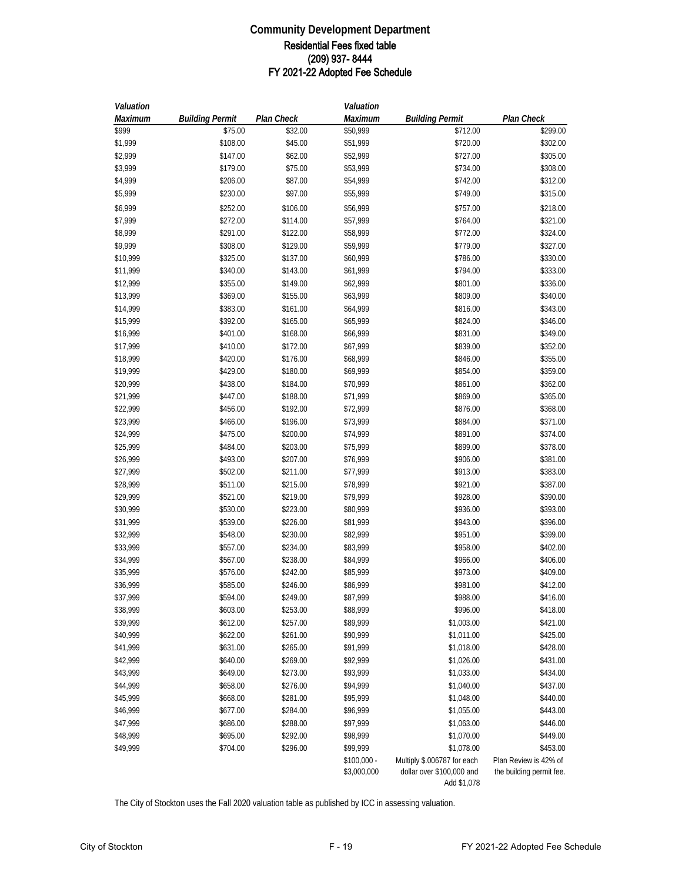#### **Community Development Department** Residential Fees fixed table (209) 937- 8444 FY 2021-22 Adopted Fee Schedule

| Valuation |                        |            | Valuation    |                             |                          |
|-----------|------------------------|------------|--------------|-----------------------------|--------------------------|
| Maximum   | <b>Building Permit</b> | Plan Check | Maximum      | <b>Building Permit</b>      | Plan Check               |
| \$999     | \$75.00                | \$32.00    | \$50,999     | \$712.00                    | \$299.00                 |
| \$1,999   | \$108.00               | \$45.00    | \$51,999     | \$720.00                    | \$302.00                 |
| \$2,999   | \$147.00               | \$62.00    | \$52,999     | \$727.00                    | \$305.00                 |
| \$3,999   | \$179.00               | \$75.00    | \$53,999     | \$734.00                    | \$308.00                 |
| \$4,999   | \$206.00               | \$87.00    | \$54,999     | \$742.00                    | \$312.00                 |
| \$5,999   | \$230.00               | \$97.00    | \$55,999     | \$749.00                    | \$315.00                 |
| \$6,999   | \$252.00               | \$106.00   | \$56,999     | \$757.00                    | \$218.00                 |
| \$7,999   | \$272.00               | \$114.00   | \$57,999     | \$764.00                    | \$321.00                 |
| \$8,999   | \$291.00               | \$122.00   | \$58,999     | \$772.00                    | \$324.00                 |
| \$9,999   | \$308.00               | \$129.00   | \$59,999     | \$779.00                    | \$327.00                 |
| \$10,999  | \$325.00               | \$137.00   | \$60,999     | \$786.00                    | \$330.00                 |
| \$11,999  | \$340.00               | \$143.00   | \$61,999     | \$794.00                    | \$333.00                 |
| \$12,999  | \$355.00               | \$149.00   | \$62,999     | \$801.00                    | \$336.00                 |
| \$13,999  | \$369.00               | \$155.00   | \$63,999     | \$809.00                    | \$340.00                 |
| \$14,999  | \$383.00               | \$161.00   | \$64,999     | \$816.00                    | \$343.00                 |
| \$15,999  | \$392.00               | \$165.00   | \$65,999     | \$824.00                    | \$346.00                 |
| \$16,999  | \$401.00               | \$168.00   | \$66,999     | \$831.00                    | \$349.00                 |
| \$17,999  | \$410.00               | \$172.00   | \$67,999     | \$839.00                    | \$352.00                 |
| \$18,999  | \$420.00               | \$176.00   | \$68,999     | \$846.00                    | \$355.00                 |
| \$19,999  | \$429.00               | \$180.00   | \$69,999     | \$854.00                    | \$359.00                 |
| \$20,999  | \$438.00               | \$184.00   | \$70,999     | \$861.00                    | \$362.00                 |
| \$21,999  | \$447.00               | \$188.00   | \$71,999     | \$869.00                    | \$365.00                 |
| \$22,999  | \$456.00               | \$192.00   | \$72,999     | \$876.00                    | \$368.00                 |
| \$23,999  | \$466.00               | \$196.00   | \$73,999     | \$884.00                    | \$371.00                 |
| \$24,999  | \$475.00               | \$200.00   | \$74,999     | \$891.00                    | \$374.00                 |
| \$25,999  | \$484.00               | \$203.00   | \$75,999     | \$899.00                    | \$378.00                 |
| \$26,999  | \$493.00               | \$207.00   | \$76,999     | \$906.00                    | \$381.00                 |
| \$27,999  | \$502.00               | \$211.00   | \$77,999     | \$913.00                    | \$383.00                 |
| \$28,999  | \$511.00               | \$215.00   | \$78,999     | \$921.00                    | \$387.00                 |
| \$29,999  | \$521.00               | \$219.00   | \$79,999     | \$928.00                    | \$390.00                 |
| \$30,999  | \$530.00               | \$223.00   | \$80,999     | \$936.00                    | \$393.00                 |
| \$31,999  | \$539.00               | \$226.00   | \$81,999     | \$943.00                    | \$396.00                 |
| \$32,999  | \$548.00               | \$230.00   | \$82,999     | \$951.00                    | \$399.00                 |
| \$33,999  | \$557.00               | \$234.00   | \$83,999     | \$958.00                    | \$402.00                 |
| \$34,999  | \$567.00               | \$238.00   | \$84,999     | \$966.00                    | \$406.00                 |
| \$35,999  | \$576.00               | \$242.00   | \$85,999     | \$973.00                    | \$409.00                 |
| \$36,999  | \$585.00               | \$246.00   | \$86,999     | \$981.00                    | \$412.00                 |
| \$37,999  | \$594.00               | \$249.00   | \$87,999     | \$988.00                    | \$416.00                 |
| \$38,999  | \$603.00               | \$253.00   | \$88,999     | \$996.00                    | \$418.00                 |
| \$39,999  | \$612.00               | \$257.00   | \$89,999     | \$1,003.00                  | \$421.00                 |
| \$40,999  | \$622.00               | \$261.00   | \$90,999     | \$1,011.00                  | \$425.00                 |
| \$41,999  | \$631.00               | \$265.00   | \$91,999     | \$1,018.00                  | \$428.00                 |
| \$42,999  | \$640.00               | \$269.00   | \$92,999     | \$1,026.00                  | \$431.00                 |
| \$43,999  | \$649.00               | \$273.00   | \$93,999     | \$1,033.00                  | \$434.00                 |
| \$44,999  | \$658.00               | \$276.00   | \$94,999     | \$1,040.00                  | \$437.00                 |
| \$45,999  | \$668.00               | \$281.00   | \$95,999     | \$1,048.00                  | \$440.00                 |
| \$46,999  | \$677.00               | \$284.00   | \$96,999     | \$1,055.00                  | \$443.00                 |
| \$47,999  | \$686.00               | \$288.00   | \$97,999     | \$1,063.00                  | \$446.00                 |
| \$48,999  | \$695.00               | \$292.00   | \$98,999     | \$1,070.00                  | \$449.00                 |
| \$49,999  | \$704.00               | \$296.00   | \$99,999     | \$1,078.00                  | \$453.00                 |
|           |                        |            | $$100,000 -$ | Multiply \$.006787 for each | Plan Review is 42% of    |
|           |                        |            | \$3,000,000  | dollar over \$100,000 and   | the building permit fee. |
|           |                        |            |              | Add \$1,078                 |                          |

The City of Stockton uses the Fall 2020 valuation table as published by ICC in assessing valuation.